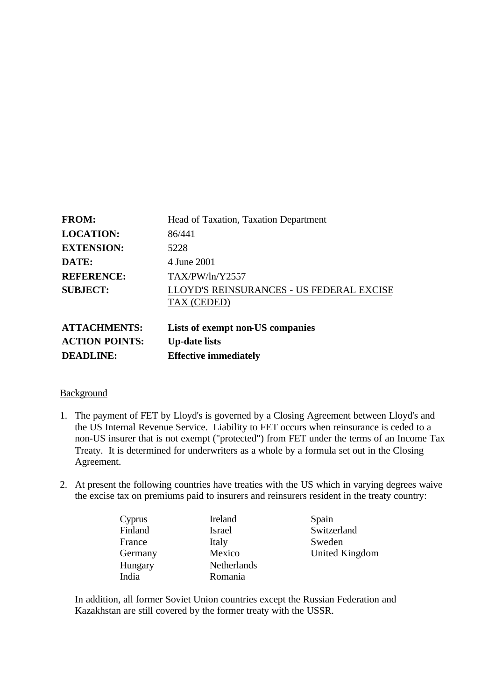| <b>FROM:</b>        | Head of Taxation, Taxation Department                   |
|---------------------|---------------------------------------------------------|
| <b>LOCATION:</b>    | 86/441                                                  |
| <b>EXTENSION:</b>   | 5228                                                    |
| DATE:               | 4 June 2001                                             |
| <b>REFERENCE:</b>   | TAX/PW/ln/Y2557                                         |
| <b>SUBJECT:</b>     | LLOYD'S REINSURANCES - US FEDERAL EXCISE<br>TAX (CEDED) |
| <b>ATTACHMENTS:</b> | Lists of exempt non-US companies                        |

| ATTAUTUMENTS.         | LISTS OF EXEMPT HOIF US COMP |
|-----------------------|------------------------------|
| <b>ACTION POINTS:</b> | <b>Up-date lists</b>         |
| <b>DEADLINE:</b>      | <b>Effective immediately</b> |

### Background

- 1. The payment of FET by Lloyd's is governed by a Closing Agreement between Lloyd's and the US Internal Revenue Service. Liability to FET occurs when reinsurance is ceded to a non-US insurer that is not exempt ("protected") from FET under the terms of an Income Tax Treaty. It is determined for underwriters as a whole by a formula set out in the Closing Agreement.
- 2. At present the following countries have treaties with the US which in varying degrees waive the excise tax on premiums paid to insurers and reinsurers resident in the treaty country:

| Cyprus  | Ireland            | Spain       |
|---------|--------------------|-------------|
| Finland | Israel             | Switzerland |
| France  | Italy              | Sweden      |
| Germany | Mexico             | United King |
| Hungary | <b>Netherlands</b> |             |
| India   | Romania            |             |
|         |                    |             |

Cyprus Ireland Spain

Germany Mexico United Kingdom

In addition, all former Soviet Union countries except the Russian Federation and Kazakhstan are still covered by the former treaty with the USSR.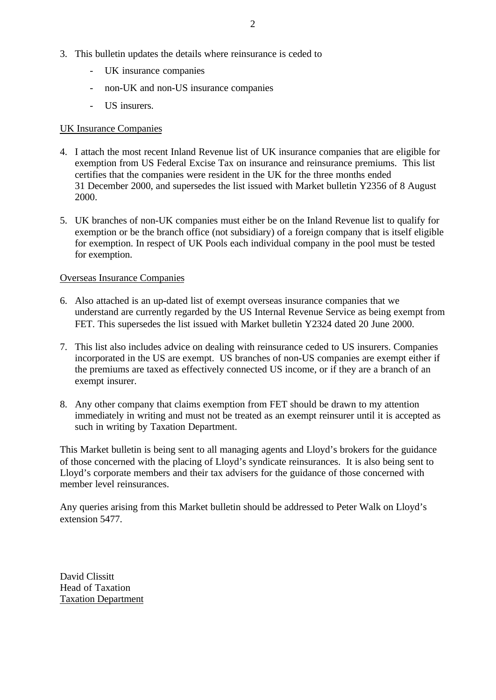- 3. This bulletin updates the details where reinsurance is ceded to
	- UK insurance companies
	- non-UK and non-US insurance companies
	- US insurers.

### UK Insurance Companies

- 4. I attach the most recent Inland Revenue list of UK insurance companies that are eligible for exemption from US Federal Excise Tax on insurance and reinsurance premiums. This list certifies that the companies were resident in the UK for the three months ended 31 December 2000, and supersedes the list issued with Market bulletin Y2356 of 8 August 2000.
- 5. UK branches of non-UK companies must either be on the Inland Revenue list to qualify for exemption or be the branch office (not subsidiary) of a foreign company that is itself eligible for exemption. In respect of UK Pools each individual company in the pool must be tested for exemption.

### Overseas Insurance Companies

- 6. Also attached is an up-dated list of exempt overseas insurance companies that we understand are currently regarded by the US Internal Revenue Service as being exempt from FET. This supersedes the list issued with Market bulletin Y2324 dated 20 June 2000.
- 7. This list also includes advice on dealing with reinsurance ceded to US insurers. Companies incorporated in the US are exempt. US branches of non-US companies are exempt either if the premiums are taxed as effectively connected US income, or if they are a branch of an exempt insurer.
- 8. Any other company that claims exemption from FET should be drawn to my attention immediately in writing and must not be treated as an exempt reinsurer until it is accepted as such in writing by Taxation Department.

This Market bulletin is being sent to all managing agents and Lloyd's brokers for the guidance of those concerned with the placing of Lloyd's syndicate reinsurances. It is also being sent to Lloyd's corporate members and their tax advisers for the guidance of those concerned with member level reinsurances.

Any queries arising from this Market bulletin should be addressed to Peter Walk on Lloyd's extension 5477.

David Clissitt Head of Taxation Taxation Department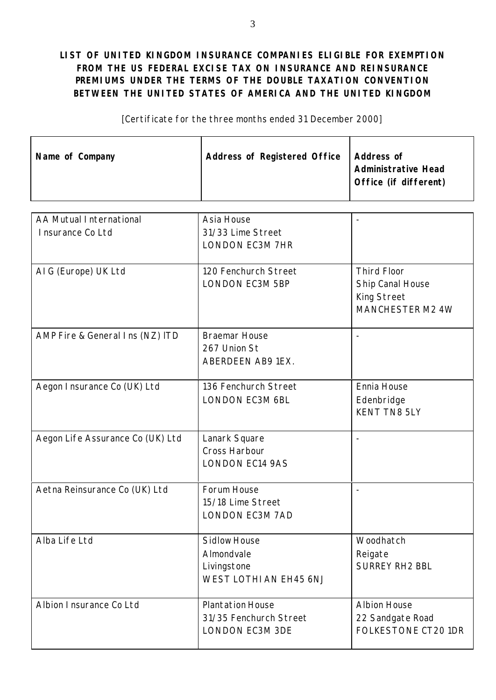## **LIST OF UNITED KINGDOM INSURANCE COMPANIES ELIGIBLE FOR EXEMPTION FROM THE US FEDERAL EXCISE TAX ON INSURANCE AND REINSURANCE PREMIUMS UNDER THE TERMS OF THE DOUBLE TAXATION CONVENTION BETWEEN THE UNITED STATES OF AMERICA AND THE UNITED KINGDOM**

[Certificate for the three months ended 31 December 2000]

| Name of Company | <b>Address of Registered Office</b> | <b>Address of</b>          |
|-----------------|-------------------------------------|----------------------------|
|                 |                                     | <b>Administrative Head</b> |
|                 |                                     | Office (if different)      |
|                 |                                     |                            |

| AA Mutual International          | Asia House              |                                  |
|----------------------------------|-------------------------|----------------------------------|
| Insurance Co Ltd                 | 31/33 Lime Street       |                                  |
|                                  | <b>LONDON EC3M 7HR</b>  |                                  |
|                                  |                         |                                  |
| AIG (Europe) UK Ltd              | 120 Fenchurch Street    | <b>Third Floor</b>               |
|                                  | <b>LONDON EC3M 5BP</b>  | Ship Canal House                 |
|                                  |                         | King Street                      |
|                                  |                         | MANCHESTER M2 4W                 |
|                                  |                         |                                  |
| AMP Fire & General Ins (NZ) ITD  | <b>Braemar House</b>    |                                  |
|                                  | 267 Union St            |                                  |
|                                  | ABERDEEN AB9 1EX.       |                                  |
|                                  |                         |                                  |
| Aegon I nsurance Co (UK) Ltd     | 136 Fenchurch Street    | Ennia House                      |
|                                  | <b>LONDON EC3M 6BL</b>  | Edenbridge                       |
|                                  |                         | <b>KENT TN8 5LY</b>              |
|                                  |                         |                                  |
| Aegon Life Assurance Co (UK) Ltd | Lanark Square           |                                  |
|                                  | Cross Harbour           |                                  |
|                                  | <b>LONDON EC14 9AS</b>  |                                  |
|                                  |                         |                                  |
| Aetna Reinsurance Co (UK) Ltd    | Forum House             |                                  |
|                                  | 15/18 Lime Street       |                                  |
|                                  | <b>LONDON EC3M 7AD</b>  |                                  |
| Alba Life Ltd                    | <b>Sidlow House</b>     | Woodhatch                        |
|                                  | Almondvale              |                                  |
|                                  |                         | Reigate<br><b>SURREY RH2 BBL</b> |
|                                  | Livingstone             |                                  |
|                                  | WEST LOTHI AN EH45 6NJ  |                                  |
| Albion Insurance Co Ltd          | <b>Plantation House</b> | <b>Albion House</b>              |
|                                  | 31/35 Fenchurch Street  | 22 Sandgate Road                 |
|                                  | <b>LONDON EC3M 3DE</b>  | <b>FOLKESTONE CT20 1DR</b>       |
|                                  |                         |                                  |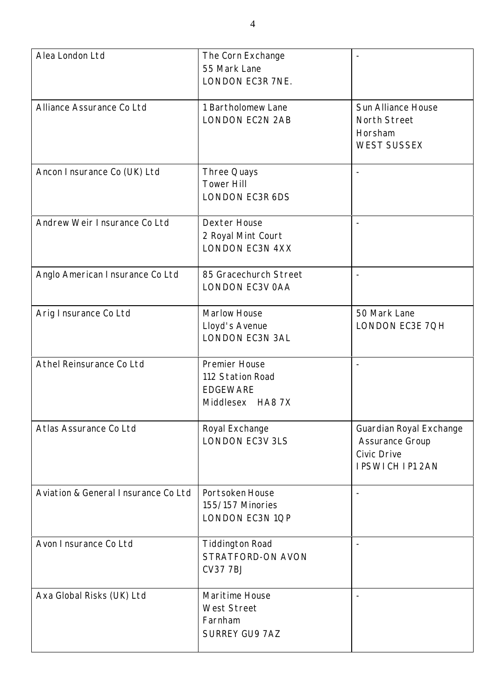| Alea London Ltd                     | The Corn Exchange<br>55 Mark Lane<br>LONDON EC3R 7NE.                    |                                                                                            |
|-------------------------------------|--------------------------------------------------------------------------|--------------------------------------------------------------------------------------------|
| Alliance Assurance Co Ltd           | 1 Bartholomew Lane<br><b>LONDON EC2N 2AB</b>                             | Sun Alliance House<br>North Street<br>Horsham<br><b>WEST SUSSEX</b>                        |
| Ancon Insurance Co (UK) Ltd         | Three Quays<br><b>Tower Hill</b><br><b>LONDON EC3R 6DS</b>               |                                                                                            |
| Andrew Weir Insurance Co Ltd        | <b>Dexter House</b><br>2 Royal Mint Court<br><b>LONDON EC3N 4XX</b>      |                                                                                            |
| Anglo American Insurance Co Ltd     | 85 Gracechurch Street<br>LONDON EC3V OAA                                 |                                                                                            |
| Arig I nsurance Co Ltd              | Marlow House<br>Lloyd's Avenue<br><b>LONDON EC3N 3AL</b>                 | 50 Mark Lane<br>LONDON EC3E 7QH                                                            |
| Athel Reinsurance Co Ltd            | Premier House<br>112 Station Road<br><b>EDGEWARE</b><br>Middlesex HA8 7X |                                                                                            |
| Atlas Assurance Co Ltd              | Royal Exchange<br><b>LONDON EC3V 3LS</b>                                 | Guardian Royal Exchange<br>Assurance Group<br><b>Civic Drive</b><br><b>IPSWICH IP1 2AN</b> |
| Aviation & General Insurance Co Ltd | Portsoken House<br>155/157 Minories<br>LONDON EC3N 1QP                   | $\overline{\phantom{a}}$                                                                   |
| Avon Insurance Co Ltd               | <b>Tiddington Road</b><br>STRATFORD-ON AVON<br><b>CV37 7BJ</b>           |                                                                                            |
| Axa Global Risks (UK) Ltd           | Maritime House<br><b>West Street</b><br>Farnham<br><b>SURREY GU9 7AZ</b> |                                                                                            |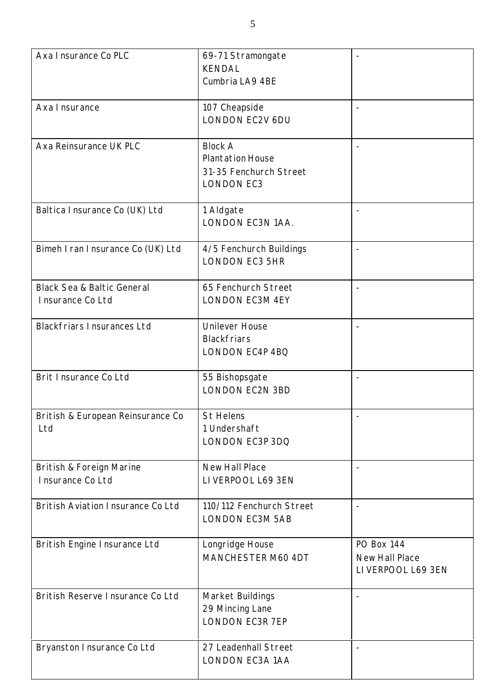| Axa I nsurance Co PLC                                     | 69-71 Stramongate<br><b>KENDAL</b><br>Cumbria LA9 4BE                                    |                                                          |
|-----------------------------------------------------------|------------------------------------------------------------------------------------------|----------------------------------------------------------|
| Axa Insurance                                             | 107 Cheapside<br><b>LONDON EC2V 6DU</b>                                                  |                                                          |
| Axa Reinsurance UK PLC                                    | <b>Block A</b><br><b>Plantation House</b><br>31-35 Fenchurch Street<br><b>LONDON EC3</b> |                                                          |
| Baltica Insurance Co (UK) Ltd                             | 1 Aldgate<br>LONDON EC3N 1AA.                                                            | $\overline{\phantom{a}}$                                 |
| Bimeh I ran I nsurance Co (UK) Ltd                        | 4/5 Fenchurch Buildings<br><b>LONDON EC3 5HR</b>                                         |                                                          |
| <b>Black Sea &amp; Baltic General</b><br>Insurance Co Ltd | 65 Fenchurch Street<br><b>LONDON EC3M 4EY</b>                                            |                                                          |
| <b>Blackfriars Insurances Ltd</b>                         | <b>Unilever House</b><br><b>Blackfriars</b><br>LONDON EC4P 4BQ                           |                                                          |
| Brit Insurance Co Ltd                                     | 55 Bishopsgate<br><b>LONDON EC2N 3BD</b>                                                 |                                                          |
| British & European Reinsurance Co<br>Ltd                  | St Helens<br>1 Undershaft<br>LONDON EC3P 3DQ                                             |                                                          |
| British & Foreign Marine<br>Insurance Co Ltd              | <b>New Hall Place</b><br>LIVERPOOL L69 3EN                                               |                                                          |
| <b>British Aviation Insurance Co Ltd</b>                  | 110/112 Fenchurch Street<br><b>LONDON EC3M 5AB</b>                                       |                                                          |
| British Engine Insurance Ltd                              | Longridge House<br>MANCHESTER M60 4DT                                                    | <b>PO Box 144</b><br>New Hall Place<br>LIVERPOOL L69 3EN |
| British Reserve Insurance Co Ltd                          | Market Buildings<br>29 Mincing Lane<br><b>LONDON EC3R 7EP</b>                            |                                                          |
| Bryanston Insurance Co Ltd                                | 27 Leadenhall Street<br>LONDON EC3A 1AA                                                  |                                                          |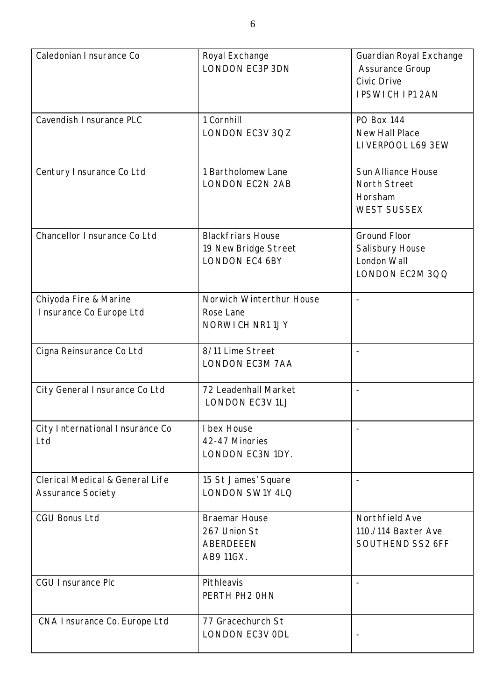| Caledonian I nsurance Co                                               | Royal Exchange<br><b>LONDON EC3P 3DN</b>                                  | Guardian Royal Exchange<br><b>Assurance Group</b><br><b>Civic Drive</b><br><b>IPSWICH IP1 2AN</b> |
|------------------------------------------------------------------------|---------------------------------------------------------------------------|---------------------------------------------------------------------------------------------------|
| Cavendish I nsurance PLC                                               | 1 Cornhill<br>LONDON EC3V 3QZ                                             | <b>PO Box 144</b><br>New Hall Place<br>LIVERPOOL L69 3EW                                          |
| Century Insurance Co Ltd                                               | 1 Bartholomew Lane<br><b>LONDON EC2N 2AB</b>                              | Sun Alliance House<br><b>North Street</b><br>Horsham<br><b>WEST SUSSEX</b>                        |
| Chancellor Insurance Co Ltd                                            | <b>Blackfriars House</b><br>19 New Bridge Street<br><b>LONDON EC4 6BY</b> | <b>Ground Floor</b><br>Salisbury House<br>London Wall<br>LONDON EC2M 3QQ                          |
| Chiyoda Fire & Marine<br>Insurance Co Europe Ltd                       | Norwich Winterthur House<br>Rose Lane<br>NORWICH NR11JY                   | $\overline{a}$                                                                                    |
| Cigna Reinsurance Co Ltd                                               | 8/11 Lime Street<br>LONDON EC3M 7AA                                       |                                                                                                   |
| City General Insurance Co Ltd                                          | 72 Leadenhall Market<br><b>LONDON EC3V 1LJ</b>                            | $\overline{\phantom{a}}$                                                                          |
| City International Insurance Co<br>Ltd                                 | I bex House<br>42-47 Minories<br>LONDON EC3N 1DY.                         |                                                                                                   |
| <b>Clerical Medical &amp; General Life</b><br><b>Assurance Society</b> | 15 St James' Square<br><b>LONDON SW1Y 4LQ</b>                             |                                                                                                   |
| <b>CGU Bonus Ltd</b>                                                   | <b>Braemar House</b><br>267 Union St<br>ABERDEEEN<br>AB9 11GX.            | Northfield Ave<br>110./114 Baxter Ave<br>SOUTHEND SS2 6FF                                         |
| <b>CGU Insurance Plc</b>                                               | Pithleavis<br>PERTH PH2 OHN                                               | $\qquad \qquad -$                                                                                 |
| CNA Insurance Co. Europe Ltd                                           | 77 Gracechurch St<br><b>LONDON EC3V ODL</b>                               |                                                                                                   |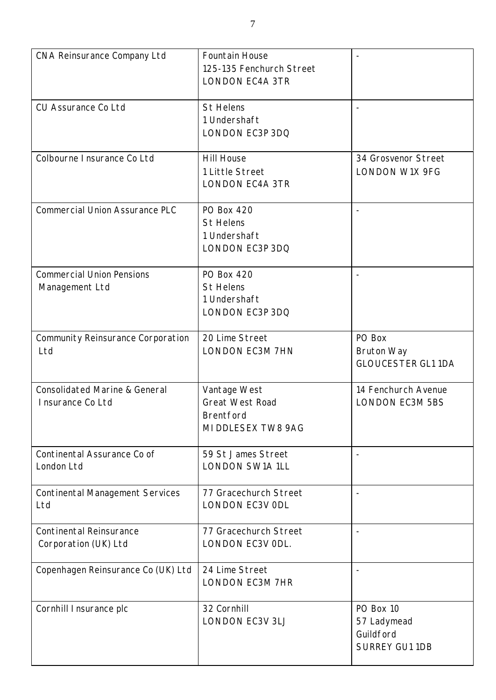| <b>CNA Reinsurance Company Ltd</b>                           | <b>Fountain House</b><br>125-135 Fenchurch Street<br><b>LONDON EC4A 3TR</b>      |                                                                |
|--------------------------------------------------------------|----------------------------------------------------------------------------------|----------------------------------------------------------------|
| <b>CU Assurance Co Ltd</b>                                   | <b>St Helens</b><br>1 Undershaft<br>LONDON EC3P 3DQ                              |                                                                |
| Colbourne I nsurance Co Ltd                                  | <b>Hill House</b><br>1 Little Street<br><b>LONDON EC4A 3TR</b>                   | 34 Grosvenor Street<br><b>LONDON W1X 9FG</b>                   |
| <b>Commercial Union Assurance PLC</b>                        | <b>PO Box 420</b><br><b>St Helens</b><br>1 Undershaft<br>LONDON EC3P 3DQ         |                                                                |
| <b>Commercial Union Pensions</b><br>Management Ltd           | <b>PO Box 420</b><br><b>St Helens</b><br>1 Undershaft<br>LONDON EC3P 3DQ         |                                                                |
| Community Reinsurance Corporation<br>Ltd                     | 20 Lime Street<br><b>LONDON EC3M 7HN</b>                                         | PO Box<br><b>Bruton Way</b><br><b>GLOUCESTER GL1 1DA</b>       |
| <b>Consolidated Marine &amp; General</b><br>Insurance Co Ltd | Vantage West<br><b>Great West Road</b><br><b>Brentford</b><br>MI DDLESEX TW8 9AG | 14 Fenchurch Avenue<br><b>LONDON EC3M 5BS</b>                  |
| Continental Assurance Co of<br>London Ltd                    | 59 St James Street<br><b>LONDON SW1A 1LL</b>                                     |                                                                |
| <b>Continental Management Services</b><br>Ltd                | 77 Gracechurch Street<br><b>LONDON EC3V ODL</b>                                  |                                                                |
| <b>Continental Reinsurance</b><br>Corporation (UK) Ltd       | 77 Gracechurch Street<br>LONDON EC3V ODL.                                        | $\overline{\phantom{a}}$                                       |
| Copenhagen Reinsurance Co (UK) Ltd                           | 24 Lime Street<br><b>LONDON EC3M 7HR</b>                                         |                                                                |
| Cornhill I nsurance plc                                      | 32 Cornhill<br><b>LONDON EC3V 3LJ</b>                                            | PO Box 10<br>57 Ladymead<br>Guildford<br><b>SURREY GU1 1DB</b> |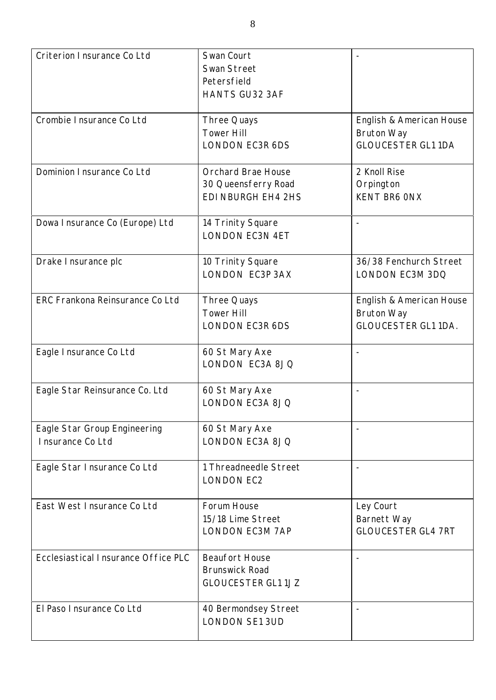| Criterion Insurance Co Ltd                       | Swan Court<br>Swan Street<br>Petersfield<br>HANTS GU32 3AF                    |                                                                             |
|--------------------------------------------------|-------------------------------------------------------------------------------|-----------------------------------------------------------------------------|
| Crombie I nsurance Co Ltd                        | Three Quays<br><b>Tower Hill</b><br><b>LONDON EC3R 6DS</b>                    | English & American House<br><b>Bruton Way</b><br><b>GLOUCESTER GL1 1DA</b>  |
| Dominion I nsurance Co Ltd                       | <b>Orchard Brae House</b><br>30 Queensferry Road<br><b>EDI NBURGH EH4 2HS</b> | 2 Knoll Rise<br>Orpington<br><b>KENT BR6 ONX</b>                            |
| Dowa Insurance Co (Europe) Ltd                   | 14 Trinity Square<br><b>LONDON EC3N 4ET</b>                                   |                                                                             |
| Drake Insurance plc                              | 10 Trinity Square<br><b>LONDON EC3P 3AX</b>                                   | 36/38 Fenchurch Street<br>LONDON EC3M 3DQ                                   |
| ERC Frankona Reinsurance Co Ltd                  | Three Quays<br><b>Tower Hill</b><br><b>LONDON EC3R 6DS</b>                    | English & American House<br><b>Bruton Way</b><br><b>GLOUCESTER GL1 1DA.</b> |
| Eagle Insurance Co Ltd                           | 60 St Mary Axe<br>LONDON EC3A 8JQ                                             |                                                                             |
| Eagle Star Reinsurance Co. Ltd                   | 60 St Mary Axe<br>LONDON EC3A 8JQ                                             |                                                                             |
| Eagle Star Group Engineering<br>Insurance Co Ltd | 60 St Mary Axe<br><b>LONDON EC3A 8JQ</b>                                      |                                                                             |
| Eagle Star Insurance Co Ltd                      | 1 Threadneedle Street<br><b>LONDON EC2</b>                                    |                                                                             |
| East West Insurance Co Ltd                       | Forum House<br>15/18 Lime Street<br><b>LONDON EC3M 7AP</b>                    | Ley Court<br>Barnett Way<br><b>GLOUCESTER GL4 7RT</b>                       |
| Ecclesiastical Insurance Office PLC              | <b>Beaufort House</b><br><b>Brunswick Road</b><br><b>GLOUCESTER GL1 1JZ</b>   |                                                                             |
| El Paso I nsurance Co Ltd                        | 40 Bermondsey Street<br><b>LONDON SE1 3UD</b>                                 |                                                                             |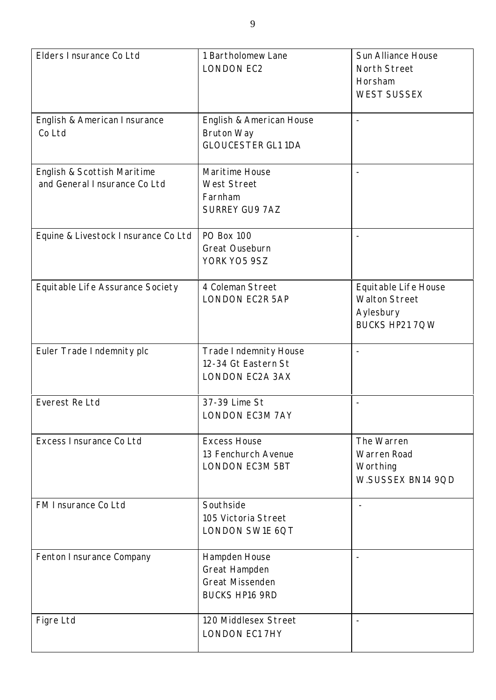| Elders Insurance Co Ltd                                     | 1 Bartholomew Lane<br><b>LONDON EC2</b>                                           | <b>Sun Alliance House</b><br>North Street<br>Horsham<br><b>WEST SUSSEX</b>  |
|-------------------------------------------------------------|-----------------------------------------------------------------------------------|-----------------------------------------------------------------------------|
| English & American Insurance<br>Co Ltd                      | English & American House<br><b>Bruton Way</b><br><b>GLOUCESTER GL1 1DA</b>        | $\overline{\phantom{a}}$                                                    |
| English & Scottish Maritime<br>and General Insurance Co Ltd | Maritime House<br><b>West Street</b><br>Farnham<br><b>SURREY GU9 7AZ</b>          |                                                                             |
| Equine & Livestock Insurance Co Ltd                         | <b>PO Box 100</b><br>Great Ouseburn<br>YORK YO5 9SZ                               |                                                                             |
| Equitable Life Assurance Society                            | 4 Coleman Street<br>LONDON EC2R 5AP                                               | Equitable Life House<br><b>Walton Street</b><br>Aylesbury<br>BUCKS HP21 7QW |
| Euler Trade Indemnity plc                                   | Trade Indemnity House<br>12-34 Gt Eastern St<br><b>LONDON EC2A 3AX</b>            |                                                                             |
| Everest Re Ltd                                              | 37-39 Lime St<br><b>LONDON EC3M 7AY</b>                                           |                                                                             |
| Excess Insurance Co Ltd                                     | <b>Excess House</b><br>13 Fenchurch Avenue<br><b>LONDON EC3M 5BT</b>              | The Warren<br>Warren Road<br>Worthing<br>W.SUSSEX BN14 9QD                  |
| FM Insurance Co Ltd                                         | Southside<br>105 Victoria Street<br>LONDON SW1E 6QT                               |                                                                             |
| Fenton Insurance Company                                    | Hampden House<br>Great Hampden<br><b>Great Missenden</b><br><b>BUCKS HP16 9RD</b> |                                                                             |
| Figre Ltd                                                   | 120 Middlesex Street<br><b>LONDON EC1 7HY</b>                                     |                                                                             |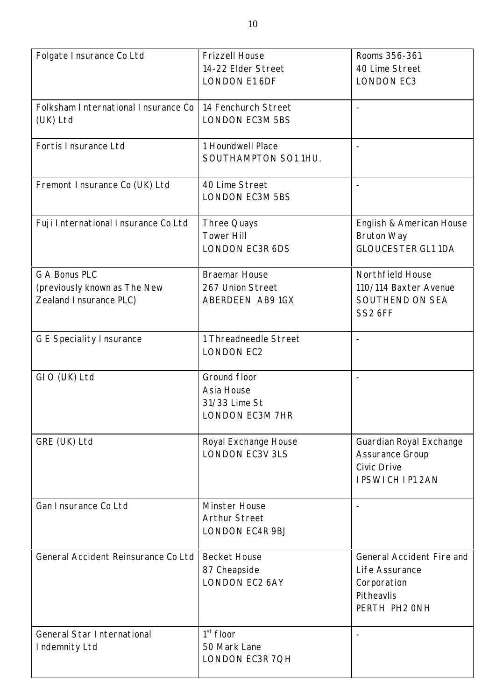| Folgate Insurance Co Ltd            | <b>Frizzell House</b>  | Rooms 356-361             |
|-------------------------------------|------------------------|---------------------------|
|                                     | 14-22 Elder Street     | 40 Lime Street            |
|                                     | <b>LONDON E1 6DF</b>   | <b>LONDON EC3</b>         |
|                                     |                        |                           |
| Folksham International Insurance Co | 14 Fenchurch Street    |                           |
| (UK) Ltd                            | <b>LONDON EC3M 5BS</b> |                           |
|                                     |                        |                           |
| Fortis Insurance Ltd                | 1 Houndwell Place      |                           |
|                                     | SOUTHAMPTON SO1 1HU.   |                           |
|                                     |                        |                           |
| Fremont Insurance Co (UK) Ltd       | 40 Lime Street         |                           |
|                                     | <b>LONDON EC3M 5BS</b> |                           |
|                                     |                        |                           |
| Fuji International Insurance Co Ltd | Three Quays            | English & American House  |
|                                     | <b>Tower Hill</b>      | <b>Bruton Way</b>         |
|                                     |                        |                           |
|                                     | <b>LONDON EC3R 6DS</b> | <b>GLOUCESTER GL1 1DA</b> |
| <b>G A Bonus PLC</b>                | <b>Braemar House</b>   | Northfield House          |
|                                     |                        |                           |
| (previously known as The New        | 267 Union Street       | 110/114 Baxter Avenue     |
| Zealand Insurance PLC)              | ABERDEEN AB9 1GX       | SOUTHEND ON SEA           |
|                                     |                        | SS2 6FF                   |
|                                     |                        |                           |
| <b>G E Speciality Insurance</b>     | 1 Threadneedle Street  |                           |
|                                     | <b>LONDON EC2</b>      |                           |
|                                     |                        |                           |
| GIO (UK) Ltd                        | Ground floor           |                           |
|                                     | Asia House             |                           |
|                                     | 31/33 Lime St          |                           |
|                                     | LONDON EC3M 7HR        |                           |
|                                     |                        |                           |
| GRE (UK) Ltd                        | Royal Exchange House   | Guardian Royal Exchange   |
|                                     | <b>LONDON EC3V 3LS</b> | <b>Assurance Group</b>    |
|                                     |                        | <b>Civic Drive</b>        |
|                                     |                        |                           |
|                                     |                        | <b>IPSWICH IP1 2AN</b>    |
| Gan Insurance Co Ltd                | Minster House          |                           |
|                                     | <b>Arthur Street</b>   |                           |
|                                     |                        |                           |
|                                     | <b>LONDON EC4R 9BJ</b> |                           |
| General Accident Reinsurance Co Ltd | <b>Becket House</b>    | General Accident Fire and |
|                                     | 87 Cheapside           | Life Assurance            |
|                                     |                        |                           |
|                                     | <b>LONDON EC2 6AY</b>  | Corporation               |
|                                     |                        | Pitheavlis                |
|                                     |                        | PERTH PH2 ONH             |
|                                     |                        |                           |
| General Star International          | $1st$ floor            |                           |
| Indemnity Ltd                       | 50 Mark Lane           |                           |
|                                     | LONDON EC3R 7QH        |                           |
|                                     |                        |                           |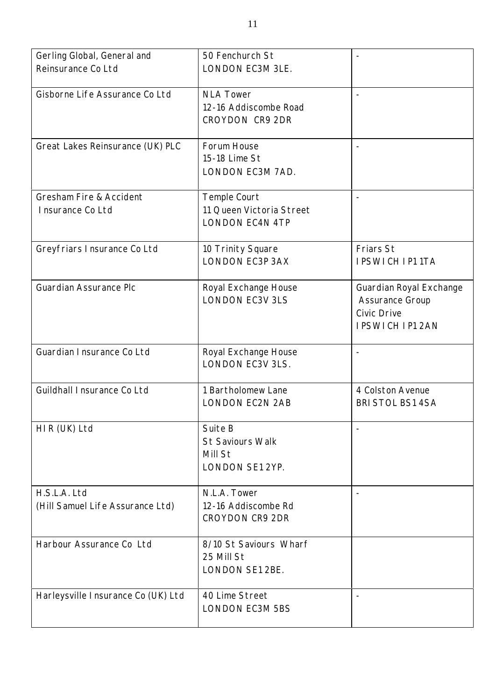| Gerling Global, General and         | 50 Fenchurch St          |                          |
|-------------------------------------|--------------------------|--------------------------|
| Reinsurance Co Ltd                  | LONDON EC3M 3LE.         |                          |
|                                     |                          |                          |
| Gisborne Life Assurance Co Ltd      | <b>NLA Tower</b>         |                          |
|                                     | 12-16 Addiscombe Road    |                          |
|                                     | <b>CROYDON CR9 2DR</b>   |                          |
|                                     |                          |                          |
| Great Lakes Reinsurance (UK) PLC    | Forum House              | $\overline{\phantom{a}}$ |
|                                     | 15-18 Lime St            |                          |
|                                     | LONDON EC3M 7AD.         |                          |
|                                     |                          |                          |
| <b>Gresham Fire &amp; Accident</b>  | Temple Court             |                          |
| Insurance Co Ltd                    | 11 Queen Victoria Street |                          |
|                                     | <b>LONDON EC4N 4TP</b>   |                          |
|                                     |                          |                          |
| Greyfriars Insurance Co Ltd         | 10 Trinity Square        | <b>Friars St</b>         |
|                                     | <b>LONDON EC3P 3AX</b>   | <b>IPSWICH IP11TA</b>    |
|                                     |                          |                          |
| <b>Guardian Assurance Plc</b>       | Royal Exchange House     | Guardian Royal Exchange  |
|                                     | <b>LONDON EC3V 3LS</b>   |                          |
|                                     |                          | <b>Assurance Group</b>   |
|                                     |                          | <b>Civic Drive</b>       |
|                                     |                          | <b>IPSWICH IP1 2AN</b>   |
|                                     |                          |                          |
| Guardian I nsurance Co Ltd          | Royal Exchange House     |                          |
|                                     | <b>LONDON EC3V 3LS.</b>  |                          |
|                                     |                          |                          |
| Guildhall I nsurance Co Ltd         | 1 Bartholomew Lane       | 4 Colston Avenue         |
|                                     | <b>LONDON EC2N 2AB</b>   | <b>BRI STOL BS1 4SA</b>  |
|                                     |                          |                          |
| HIR (UK) Ltd                        | Suite B                  |                          |
|                                     | <b>St Saviours Walk</b>  |                          |
|                                     | Mill St                  |                          |
|                                     | LONDON SE1 2YP.          |                          |
|                                     |                          |                          |
| H.S.L.A. Ltd                        | N.L.A. Tower             |                          |
| (Hill Samuel Life Assurance Ltd)    | 12-16 Addiscombe Rd      |                          |
|                                     | <b>CROYDON CR9 2DR</b>   |                          |
|                                     |                          |                          |
| Harbour Assurance Co Ltd            | 8/10 St Saviours Wharf   |                          |
|                                     | 25 Mill St               |                          |
|                                     | LONDON SE1 2BE.          |                          |
|                                     |                          |                          |
| Harleysville I nsurance Co (UK) Ltd | 40 Lime Street           |                          |
|                                     | <b>LONDON EC3M 5BS</b>   |                          |
|                                     |                          |                          |
|                                     |                          |                          |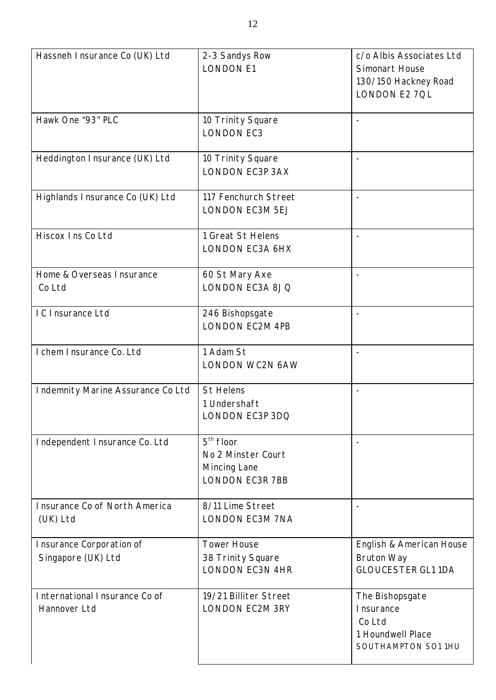| Hassneh Insurance Co (UK) Ltd                  | 2-3 Sandys Row<br><b>LONDON E1</b>                                          | c/o Albis Associates Ltd<br>Simonart House<br>130/150 Hackney Road<br>LONDON E2 7QL |
|------------------------------------------------|-----------------------------------------------------------------------------|-------------------------------------------------------------------------------------|
| Hawk One "93" PLC                              | 10 Trinity Square<br><b>LONDON EC3</b>                                      |                                                                                     |
| Heddington Insurance (UK) Ltd                  | 10 Trinity Square<br><b>LONDON EC3P 3AX</b>                                 |                                                                                     |
| Highlands I nsurance Co (UK) Ltd               | 117 Fenchurch Street<br><b>LONDON EC3M 5EJ</b>                              |                                                                                     |
| Hiscox Ins Co Ltd                              | 1 Great St Helens<br>LONDON EC3A 6HX                                        |                                                                                     |
| Home & Overseas Insurance<br>Co Ltd            | 60 St Mary Axe<br>LONDON EC3A 8JQ                                           |                                                                                     |
| IC Insurance Ltd                               | 246 Bishopsgate<br><b>LONDON EC2M 4PB</b>                                   |                                                                                     |
| I chem I nsurance Co. Ltd                      | 1 Adam St<br>LONDON WC2N 6AW                                                |                                                                                     |
| Indemnity Marine Assurance Co Ltd              | <b>St Helens</b><br>1 Undershaft<br>LONDON EC3P 3DQ                         |                                                                                     |
| Independent Insurance Co. Ltd                  | $5th$ floor<br>No 2 Minster Court<br>Mincing Lane<br><b>LONDON EC3R 7BB</b> |                                                                                     |
| Insurance Co of North America<br>(UK) Ltd      | 8/11 Lime Street<br><b>LONDON EC3M 7NA</b>                                  |                                                                                     |
| Insurance Corporation of<br>Singapore (UK) Ltd | <b>Tower House</b><br>38 Trinity Square<br><b>LONDON EC3N 4HR</b>           | English & American House<br><b>Bruton Way</b><br><b>GLOUCESTER GL1 1DA</b>          |
| International Insurance Co of<br>Hannover Ltd  | 19/21 Billiter Street<br><b>LONDON EC2M 3RY</b>                             | The Bishopsgate<br>Insurance<br>Co Ltd<br>1 Houndwell Place<br>SOUTHAMPTON SO1 1HU  |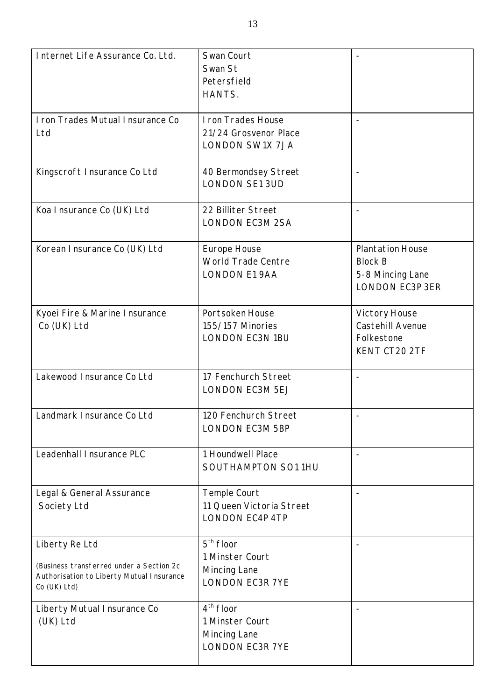| Internet Life Assurance Co. Ltd.                                                                                        | Swan Court<br>Swan St<br>Petersfield<br>HANTS.                           |                                                                                         |
|-------------------------------------------------------------------------------------------------------------------------|--------------------------------------------------------------------------|-----------------------------------------------------------------------------------------|
| I ron Trades Mutual Insurance Co<br>Ltd                                                                                 | I ron Trades House<br>21/24 Grosvenor Place<br><b>LONDON SW1X 7JA</b>    |                                                                                         |
| Kingscroft Insurance Co Ltd                                                                                             | 40 Bermondsey Street<br><b>LONDON SE1 3UD</b>                            |                                                                                         |
| Koa Insurance Co (UK) Ltd                                                                                               | 22 Billiter Street<br><b>LONDON EC3M 2SA</b>                             |                                                                                         |
| Korean I nsurance Co (UK) Ltd                                                                                           | Europe House<br>World Trade Centre<br><b>LONDON E1 9AA</b>               | <b>Plantation House</b><br><b>Block B</b><br>5-8 Mincing Lane<br><b>LONDON EC3P 3ER</b> |
| Kyoei Fire & Marine Insurance<br>Co (UK) Ltd                                                                            | Portsoken House<br>155/157 Minories<br><b>LONDON EC3N 1BU</b>            | Victory House<br>Castehill Avenue<br>Folkestone<br>KENT CT20 2TF                        |
| Lakewood Insurance Co Ltd                                                                                               | 17 Fenchurch Street<br><b>LONDON EC3M 5EJ</b>                            |                                                                                         |
| Landmark Insurance Co Ltd                                                                                               | 120 Fenchurch Street<br><b>LONDON EC3M 5BP</b>                           |                                                                                         |
| Leadenhall I nsurance PLC                                                                                               | 1 Houndwell Place<br>SOUTHAMPTON SO1 1HU                                 |                                                                                         |
| Legal & General Assurance<br>Society Ltd                                                                                | Temple Court<br>11 Queen Victoria Street<br><b>LONDON EC4P 4TP</b>       |                                                                                         |
| Liberty Re Ltd<br>(Business transferred under a Section 2c<br>Authorisation to Liberty Mutual Insurance<br>Co (UK) Ltd) | $5th$ floor<br>1 Minster Court<br>Mincing Lane<br><b>LONDON EC3R 7YE</b> |                                                                                         |
| Liberty Mutual Insurance Co<br>(UK) Ltd                                                                                 | $4th$ floor<br>1 Minster Court<br>Mincing Lane<br><b>LONDON EC3R 7YE</b> |                                                                                         |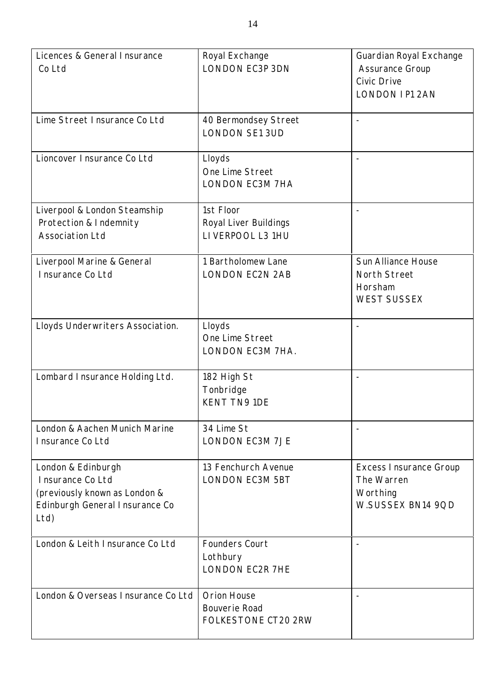| Licences & General Insurance<br>Co Ltd                                                                            | Royal Exchange<br><b>LONDON EC3P 3DN</b>                    | Guardian Royal Exchange<br><b>Assurance Group</b><br><b>Civic Drive</b><br><b>LONDON IP1 2AN</b> |
|-------------------------------------------------------------------------------------------------------------------|-------------------------------------------------------------|--------------------------------------------------------------------------------------------------|
| Lime Street Insurance Co Ltd                                                                                      | 40 Bermondsey Street<br><b>LONDON SE1 3UD</b>               |                                                                                                  |
| Lioncover Insurance Co Ltd                                                                                        | Lloyds<br>One Lime Street<br>LONDON EC3M 7HA                | $\overline{\phantom{a}}$                                                                         |
| Liverpool & London Steamship<br>Protection & Indemnity<br><b>Association Ltd</b>                                  | 1st Floor<br>Royal Liver Buildings<br>LIVERPOOL L3 1HU      |                                                                                                  |
| Liverpool Marine & General<br>Insurance Co Ltd                                                                    | 1 Bartholomew Lane<br><b>LONDON EC2N 2AB</b>                | <b>Sun Alliance House</b><br><b>North Street</b><br>Horsham<br><b>WEST SUSSEX</b>                |
| Lloyds Underwriters Association.                                                                                  | Lloyds<br>One Lime Street<br>LONDON EC3M 7HA.               |                                                                                                  |
| Lombard Insurance Holding Ltd.                                                                                    | 182 High St<br>Tonbridge<br><b>KENT TN9 1DE</b>             |                                                                                                  |
| London & Aachen Munich Marine<br>Insurance Co Ltd                                                                 | 34 Lime St<br><b>LONDON EC3M 7JE</b>                        |                                                                                                  |
| London & Edinburgh<br>Insurance Co Ltd<br>(previously known as London &<br>Edinburgh General Insurance Co<br>Ltd) | 13 Fenchurch Avenue<br><b>LONDON EC3M 5BT</b>               | <b>Excess Insurance Group</b><br>The Warren<br>Worthing<br>W.SUSSEX BN14 9QD                     |
| London & Leith Insurance Co Ltd                                                                                   | <b>Founders Court</b><br>Lothbury<br><b>LONDON EC2R 7HE</b> |                                                                                                  |
| London & Overseas Insurance Co Ltd                                                                                | Orion House<br><b>Bouverie Road</b><br>FOLKESTONE CT20 2RW  |                                                                                                  |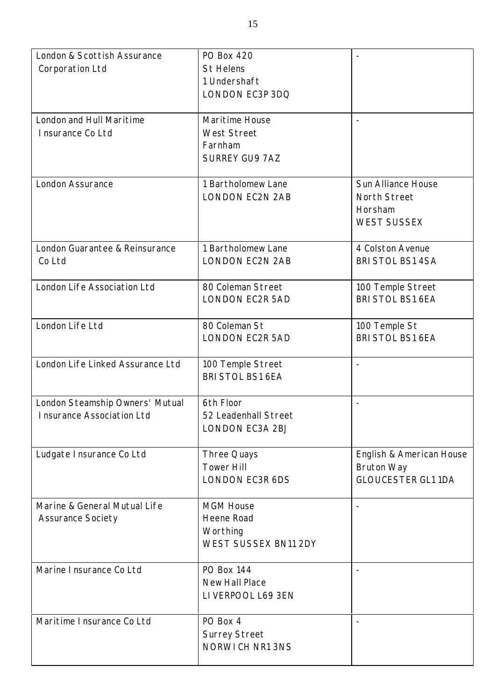| London & Scottish Assurance      | <b>PO Box 420</b>           |                                       |
|----------------------------------|-----------------------------|---------------------------------------|
| Corporation Ltd                  | <b>St Helens</b>            |                                       |
|                                  | 1 Undershaft                |                                       |
|                                  | LONDON EC3P 3DQ             |                                       |
|                                  |                             |                                       |
| London and Hull Maritime         | Maritime House              |                                       |
| Insurance Co Ltd                 | <b>West Street</b>          |                                       |
|                                  | Farnham                     |                                       |
|                                  | <b>SURREY GU9 7AZ</b>       |                                       |
|                                  |                             |                                       |
| London Assurance                 | 1 Bartholomew Lane          | <b>Sun Alliance House</b>             |
|                                  |                             |                                       |
|                                  | <b>LONDON EC2N 2AB</b>      | North Street                          |
|                                  |                             | Horsham                               |
|                                  |                             | <b>WEST SUSSEX</b>                    |
|                                  | 1 Bartholomew Lane          |                                       |
| London Guarantee & Reinsurance   |                             | 4 Colston Avenue                      |
| Co Ltd                           | <b>LONDON EC2N 2AB</b>      | BRI STOL BS1 4SA                      |
| London Life Association Ltd      | 80 Coleman Street           |                                       |
|                                  | <b>LONDON EC2R 5AD</b>      | 100 Temple Street<br>BRI STOL BS1 6EA |
|                                  |                             |                                       |
| London Life Ltd                  | 80 Coleman St               | 100 Temple St                         |
|                                  | <b>LONDON EC2R 5AD</b>      | <b>BRI STOL BS1 6EA</b>               |
|                                  |                             |                                       |
| London Life Linked Assurance Ltd | 100 Temple Street           |                                       |
|                                  | <b>BRI STOL BS1 6EA</b>     |                                       |
|                                  |                             |                                       |
| London Steamship Owners' Mutual  | 6th Floor                   |                                       |
| Insurance Association Ltd        | 52 Leadenhall Street        |                                       |
|                                  | LONDON EC3A 2BJ             |                                       |
|                                  |                             |                                       |
| Ludgate Insurance Co Ltd         | Three Quays                 | English & American House              |
|                                  | <b>Tower Hill</b>           | <b>Bruton Way</b>                     |
|                                  | LONDON EC3R 6DS             | <b>GLOUCESTER GL1 1DA</b>             |
|                                  |                             |                                       |
| Marine & General Mutual Life     | <b>MGM House</b>            |                                       |
| <b>Assurance Society</b>         | Heene Road                  |                                       |
|                                  |                             |                                       |
|                                  | Worthing                    |                                       |
|                                  | <b>WEST SUSSEX BN11 2DY</b> |                                       |
| Marine Insurance Co Ltd          | <b>PO Box 144</b>           |                                       |
|                                  | <b>New Hall Place</b>       |                                       |
|                                  |                             |                                       |
|                                  | LIVERPOOL L69 3EN           |                                       |
| Maritime Insurance Co Ltd        | PO Box 4                    |                                       |
|                                  |                             |                                       |
|                                  | <b>Surrey Street</b>        |                                       |
|                                  | NORWICH NR1 3NS             |                                       |
|                                  |                             |                                       |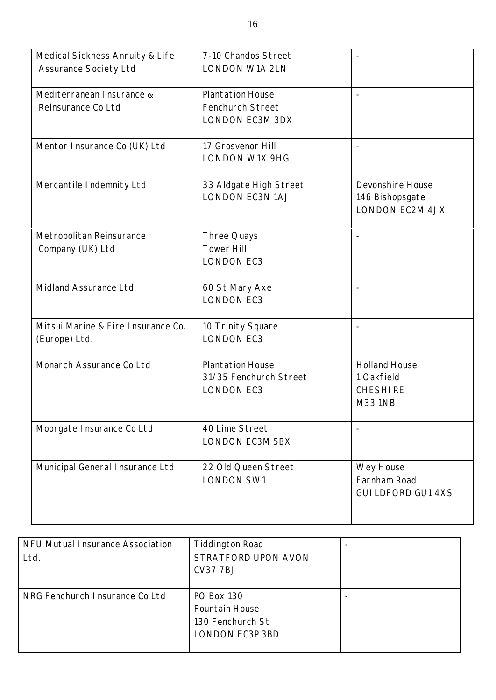| Medical Sickness Annuity & Life<br><b>Assurance Society Ltd</b> | 7-10 Chandos Street<br><b>LONDON W1A 2LN</b>                           |                                                                        |
|-----------------------------------------------------------------|------------------------------------------------------------------------|------------------------------------------------------------------------|
| Mediterranean Insurance &<br>Reinsurance Co Ltd                 | <b>Plantation House</b><br>Fenchurch Street<br><b>LONDON EC3M 3DX</b>  |                                                                        |
| Mentor Insurance Co (UK) Ltd                                    | 17 Grosvenor Hill<br><b>LONDON W1X 9HG</b>                             |                                                                        |
| Mercantile Indemnity Ltd                                        | 33 Aldgate High Street<br><b>LONDON EC3N 1AJ</b>                       | Devonshire House<br>146 Bishopsgate<br><b>LONDON EC2M 4JX</b>          |
| Metropolitan Reinsurance<br>Company (UK) Ltd                    | Three Quays<br><b>Tower Hill</b><br><b>LONDON EC3</b>                  |                                                                        |
| Midland Assurance Ltd                                           | 60 St Mary Axe<br><b>LONDON EC3</b>                                    |                                                                        |
| Mitsui Marine & Fire Insurance Co.<br>(Europe) Ltd.             | 10 Trinity Square<br><b>LONDON EC3</b>                                 |                                                                        |
| Monarch Assurance Co Ltd                                        | <b>Plantation House</b><br>31/35 Fenchurch Street<br><b>LONDON EC3</b> | <b>Holland House</b><br>1 Oakfield<br><b>CHESHIRE</b><br><b>M331NB</b> |
| Moorgate Insurance Co Ltd                                       | 40 Lime Street<br>LONDON EC3M 5BX                                      |                                                                        |
| Municipal General Insurance Ltd                                 | 22 Old Queen Street<br><b>LONDON SW1</b>                               | Wey House<br>Farnham Road<br><b>GUI LDFORD GU1 4XS</b>                 |

| NFU Mutual Insurance Association<br>Ltd. | <b>Tiddington Road</b><br>STRATFORD UPON AVON<br><b>CV377BJ</b>                          |  |
|------------------------------------------|------------------------------------------------------------------------------------------|--|
| NRG Fenchurch I nsurance Co Ltd          | <b>PO Box 130</b><br><b>Fountain House</b><br>130 Fenchurch St<br><b>LONDON EC3P 3BD</b> |  |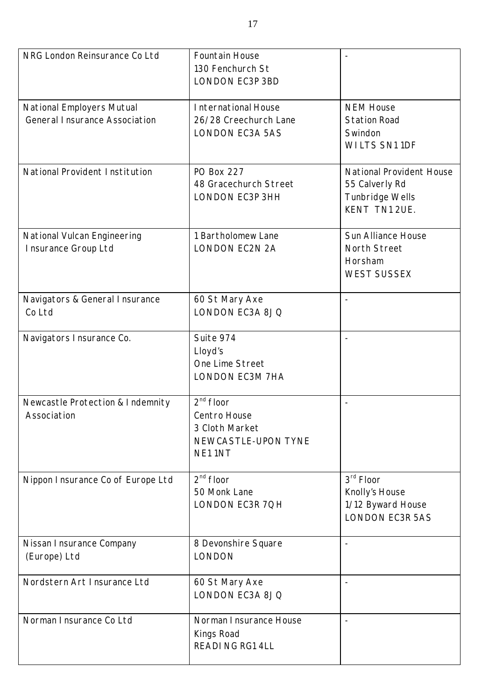| NRG London Reinsurance Co Ltd                                     | Fountain House<br>130 Fenchurch St<br><b>LONDON EC3P 3BD</b>                   |                                                                                       |
|-------------------------------------------------------------------|--------------------------------------------------------------------------------|---------------------------------------------------------------------------------------|
| National Employers Mutual<br><b>General Insurance Association</b> | International House<br>26/28 Creechurch Lane<br><b>LONDON EC3A 5AS</b>         | <b>NEM House</b><br><b>Station Road</b><br>Swindon<br><b>WILTS SN11DF</b>             |
| National Provident Institution                                    | <b>PO Box 227</b><br>48 Gracechurch Street<br>LONDON EC3P 3HH                  | <b>National Provident House</b><br>55 Calverly Rd<br>Tunbridge Wells<br>KENT TN1 2UE. |
| National Vulcan Engineering<br>Insurance Group Ltd                | 1 Bartholomew Lane<br><b>LONDON EC2N 2A</b>                                    | <b>Sun Alliance House</b><br>North Street<br>Horsham<br><b>WEST SUSSEX</b>            |
| Navigators & General Insurance<br>Co Ltd                          | 60 St Mary Axe<br>LONDON EC3A 8JQ                                              |                                                                                       |
| Navigators Insurance Co.                                          | Suite 974<br>Lloyd's<br>One Lime Street<br><b>LONDON EC3M 7HA</b>              |                                                                                       |
| Newcastle Protection & Indemnity<br>Association                   | $2nd$ floor<br>Centro House<br>3 Cloth Market<br>NEWCASTLE-UPON TYNE<br>NE11NT |                                                                                       |
| Nippon Insurance Co of Europe Ltd                                 | $2nd$ floor<br>50 Monk Lane<br>LONDON EC3R 7QH                                 | 3rd Floor<br>Knolly's House<br>1/12 Byward House<br><b>LONDON EC3R 5AS</b>            |
| Nissan I nsurance Company<br>(Europe) Ltd                         | 8 Devonshire Square<br><b>LONDON</b>                                           |                                                                                       |
| Nordstern Art Insurance Ltd                                       | 60 St Mary Axe<br>LONDON EC3A 8JQ                                              |                                                                                       |
| Norman Insurance Co Ltd                                           | Norman I nsurance House<br>Kings Road<br>READING RG1 4LL                       |                                                                                       |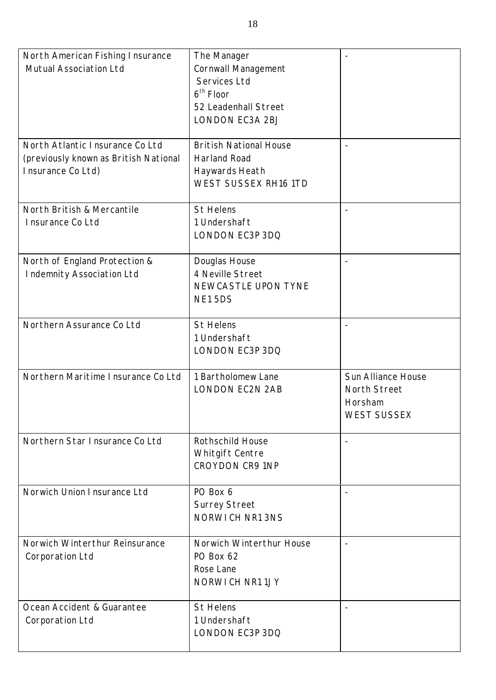| North American Fishing Insurance<br>Mutual Association Ltd                                    | The Manager<br>Cornwall Management<br>Services Ltd<br>$6th$ Floor<br>52 Leadenhall Street<br>LONDON EC3A 2BJ | $\overline{\phantom{a}}$                                                   |
|-----------------------------------------------------------------------------------------------|--------------------------------------------------------------------------------------------------------------|----------------------------------------------------------------------------|
| North Atlantic Insurance Co Ltd<br>(previously known as British National<br>Insurance Co Ltd) | <b>British National House</b><br><b>Harland Road</b><br>Haywards Heath<br><b>WEST SUSSEX RH16 1TD</b>        | $\overline{\phantom{a}}$                                                   |
| North British & Mercantile<br>Insurance Co Ltd                                                | <b>St Helens</b><br>1 Undershaft<br>LONDON EC3P 3DQ                                                          |                                                                            |
| North of England Protection &<br>Indemnity Association Ltd                                    | Douglas House<br>4 Neville Street<br>NEWCASTLE UPON TYNE<br>NE15DS                                           | $\overline{\phantom{a}}$                                                   |
| Northern Assurance Co Ltd                                                                     | <b>St Helens</b><br>1 Undershaft<br>LONDON EC3P 3DQ                                                          | $\overline{\phantom{a}}$                                                   |
| Northern Maritime Insurance Co Ltd                                                            | 1 Bartholomew Lane<br><b>LONDON EC2N 2AB</b>                                                                 | <b>Sun Alliance House</b><br>North Street<br>Horsham<br><b>WEST SUSSEX</b> |
| Northern Star Insurance Co Ltd                                                                | <b>Rothschild House</b><br>Whitgift Centre<br><b>CROYDON CR9 1NP</b>                                         | $\blacksquare$                                                             |
| Norwich Union Insurance Ltd                                                                   | PO Box 6<br><b>Surrey Street</b><br>NORWICH NR1 3NS                                                          |                                                                            |
| Norwich Winterthur Reinsurance<br>Corporation Ltd                                             | Norwich Winterthur House<br>PO Box 62<br>Rose Lane<br>NORWICH NR11JY                                         |                                                                            |
| Ocean Accident & Guarantee<br>Corporation Ltd                                                 | <b>St Helens</b><br>1 Undershaft<br>LONDON EC3P 3DQ                                                          |                                                                            |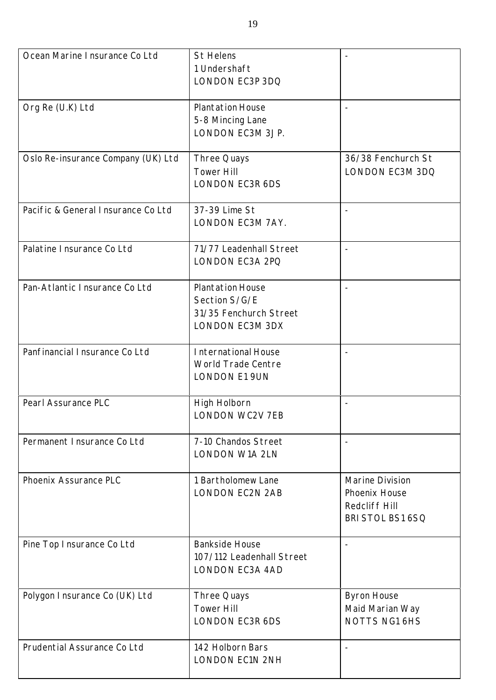| Ocean Marine I nsurance Co Ltd     | <b>St Helens</b><br>1 Undershaft<br>LONDON EC3P 3DQ                                   |                                                                       |
|------------------------------------|---------------------------------------------------------------------------------------|-----------------------------------------------------------------------|
| Org Re (U.K) Ltd                   | <b>Plantation House</b><br>5-8 Mincing Lane<br>LONDON EC3M 3JP.                       |                                                                       |
| Oslo Re-insurance Company (UK) Ltd | Three Quays<br><b>Tower Hill</b><br>LONDON EC3R 6DS                                   | 36/38 Fenchurch St<br>LONDON EC3M 3DQ                                 |
| Pacific & General Insurance Co Ltd | 37-39 Lime St<br>LONDON EC3M 7AY.                                                     | $\overline{\phantom{a}}$                                              |
| Palatine Insurance Co Ltd          | 71/77 Leadenhall Street<br>LONDON EC3A 2PQ                                            | $\overline{\phantom{a}}$                                              |
| Pan-Atlantic Insurance Co Ltd      | <b>Plantation House</b><br>Section S/G/E<br>31/35 Fenchurch Street<br>LONDON EC3M 3DX |                                                                       |
| Panfinancial Insurance Co Ltd      | International House<br>World Trade Centre<br><b>LONDON E1 9UN</b>                     |                                                                       |
| Pearl Assurance PLC                | High Holborn<br>LONDON WC2V 7EB                                                       | $\overline{\phantom{a}}$                                              |
| Permanent Insurance Co Ltd         | 7-10 Chandos Street<br><b>LONDON W1A 2LN</b>                                          |                                                                       |
| Phoenix Assurance PLC              | 1 Bartholomew Lane<br><b>LONDON EC2N 2AB</b>                                          | Marine Division<br>Phoenix House<br>Redcliff Hill<br>BRI STOL BS1 6SQ |
| Pine Top Insurance Co Ltd          | <b>Bankside House</b><br>107/112 Leadenhall Street<br><b>LONDON EC3A 4AD</b>          |                                                                       |
| Polygon I nsurance Co (UK) Ltd     | Three Quays<br><b>Tower Hill</b><br><b>LONDON EC3R 6DS</b>                            | <b>Byron House</b><br>Maid Marian Way<br><b>NOTTS NG1 6HS</b>         |
| Prudential Assurance Co Ltd        | 142 Holborn Bars<br><b>LONDON EC1N 2NH</b>                                            |                                                                       |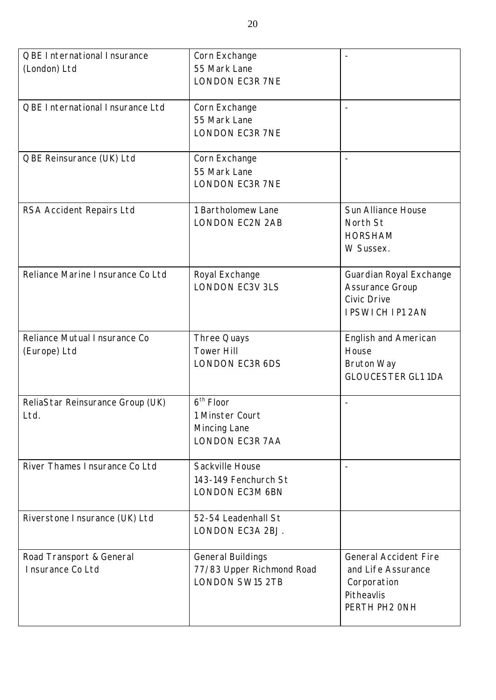| QBE International Insurance       | Corn Exchange             |                              |
|-----------------------------------|---------------------------|------------------------------|
| (London) Ltd                      | 55 Mark Lane              |                              |
|                                   | <b>LONDON EC3R 7NE</b>    |                              |
|                                   |                           |                              |
| QBE International Insurance Ltd   | Corn Exchange             |                              |
|                                   | 55 Mark Lane              |                              |
|                                   | <b>LONDON EC3R 7NE</b>    |                              |
|                                   |                           |                              |
| QBE Reinsurance (UK) Ltd          | Corn Exchange             |                              |
|                                   | 55 Mark Lane              |                              |
|                                   | <b>LONDON EC3R 7NE</b>    |                              |
| RSA Accident Repairs Ltd          | 1 Bartholomew Lane        | Sun Alliance House           |
|                                   | <b>LONDON EC2N 2AB</b>    | North St                     |
|                                   |                           | <b>HORSHAM</b>               |
|                                   |                           | W Sussex.                    |
|                                   |                           |                              |
| Reliance Marine I nsurance Co Ltd | Royal Exchange            | Guardian Royal Exchange      |
|                                   | <b>LONDON EC3V 3LS</b>    | Assurance Group              |
|                                   |                           | <b>Civic Drive</b>           |
|                                   |                           | <b>IPSWICH IP1 2AN</b>       |
| Reliance Mutual Insurance Co      | Three Quays               | English and American         |
| (Europe) Ltd                      | <b>Tower Hill</b>         | House                        |
|                                   | <b>LONDON EC3R 6DS</b>    | <b>Bruton Way</b>            |
|                                   |                           | <b>GLOUCESTER GL1 1DA</b>    |
|                                   |                           |                              |
| ReliaStar Reinsurance Group (UK)  | 6 <sup>th</sup> Floor     |                              |
| Ltd.                              | 1 Minster Court           |                              |
|                                   | Mincing Lane              |                              |
|                                   | <b>LONDON EC3R 7AA</b>    |                              |
| River Thames Insurance Co Ltd     | Sackville House           |                              |
|                                   | 143-149 Fenchurch St      |                              |
|                                   | LONDON EC3M 6BN           |                              |
| Riverstone Insurance (UK) Ltd     | 52-54 Leadenhall St       |                              |
|                                   | LONDON EC3A 2BJ.          |                              |
|                                   |                           |                              |
| Road Transport & General          | <b>General Buildings</b>  | <b>General Accident Fire</b> |
| Insurance Co Ltd                  | 77/83 Upper Richmond Road | and Life Assurance           |
|                                   | <b>LONDON SW15 2TB</b>    | Corporation                  |
|                                   |                           | Pitheavlis<br>PERTH PH2 ONH  |
|                                   |                           |                              |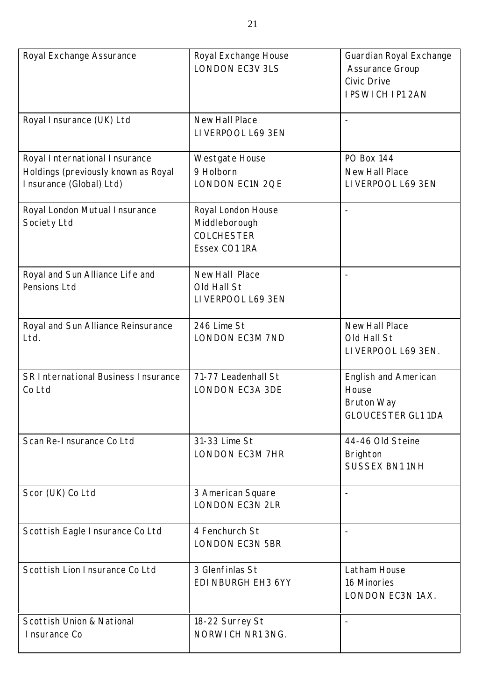| Royal Exchange Assurance                                                                        | Royal Exchange House<br><b>LONDON EC3V 3LS</b>                            | Guardian Royal Exchange<br><b>Assurance Group</b><br>Civic Drive<br><b>IPSWICH IP1 2AN</b> |
|-------------------------------------------------------------------------------------------------|---------------------------------------------------------------------------|--------------------------------------------------------------------------------------------|
| Royal Insurance (UK) Ltd                                                                        | <b>New Hall Place</b><br>LIVERPOOL L69 3EN                                |                                                                                            |
| Royal International Insurance<br>Holdings (previously known as Royal<br>Insurance (Global) Ltd) | Westgate House<br>9 Holborn<br>LONDON EC1N 2QE                            | <b>PO Box 144</b><br>New Hall Place<br>LIVERPOOL L69 3EN                                   |
| Royal London Mutual Insurance<br>Society Ltd                                                    | Royal London House<br>Middleborough<br><b>COLCHESTER</b><br>Essex CO1 1RA |                                                                                            |
| Royal and Sun Alliance Life and<br>Pensions Ltd                                                 | New Hall Place<br>Old Hall St<br>LIVERPOOL L69 3EN                        |                                                                                            |
| Royal and Sun Alliance Reinsurance<br>Ltd.                                                      | 246 Lime St<br><b>LONDON EC3M 7ND</b>                                     | New Hall Place<br>Old Hall St<br>LIVERPOOL L69 3EN.                                        |
| SR International Business Insurance<br>Co Ltd                                                   | 71-77 Leadenhall St<br><b>LONDON EC3A 3DE</b>                             | <b>English and American</b><br>House<br><b>Bruton Way</b><br><b>GLOUCESTER GL1 1DA</b>     |
| Scan Re-Insurance Co Ltd                                                                        | 31-33 Lime St<br><b>LONDON EC3M 7HR</b>                                   | 44-46 Old Steine<br>Brighton<br><b>SUSSEX BN1 1NH</b>                                      |
| Scor (UK) Co Ltd                                                                                | 3 American Square<br><b>LONDON EC3N 2LR</b>                               |                                                                                            |
| Scottish Eagle Insurance Co Ltd                                                                 | 4 Fenchurch St<br><b>LONDON EC3N 5BR</b>                                  |                                                                                            |
| Scottish Lion Insurance Co Ltd                                                                  | 3 Glenfinlas St<br>EDINBURGH EH3 6YY                                      | Latham House<br>16 Minories<br>LONDON EC3N 1AX.                                            |
| Scottish Union & National<br>Insurance Co                                                       | 18-22 Surrey St<br>NORWICH NR1 3NG.                                       | $\overline{\phantom{a}}$                                                                   |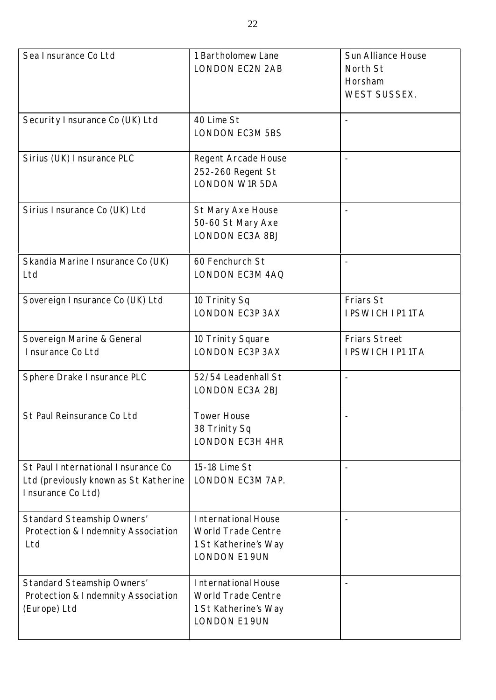| Sea Insurance Co Ltd                                                                             | 1 Bartholomew Lane<br><b>LONDON EC2N 2AB</b>                                                     | Sun Alliance House<br>North St<br>Horsham<br><b>WEST SUSSEX.</b> |
|--------------------------------------------------------------------------------------------------|--------------------------------------------------------------------------------------------------|------------------------------------------------------------------|
| Security Insurance Co (UK) Ltd                                                                   | 40 Lime St<br><b>LONDON EC3M 5BS</b>                                                             |                                                                  |
| Sirius (UK) Insurance PLC                                                                        | Regent Arcade House<br>252-260 Regent St<br><b>LONDON W1R 5DA</b>                                | $\overline{\phantom{m}}$                                         |
| Sirius Insurance Co (UK) Ltd                                                                     | St Mary Axe House<br>50-60 St Mary Axe<br><b>LONDON EC3A 8BJ</b>                                 |                                                                  |
| Skandia Marine Insurance Co (UK)<br>Ltd                                                          | 60 Fenchurch St<br>LONDON EC3M 4AQ                                                               |                                                                  |
| Sovereign I nsurance Co (UK) Ltd                                                                 | 10 Trinity Sq<br><b>LONDON EC3P 3AX</b>                                                          | Friars St<br><b>IPSWICH IP11TA</b>                               |
| Sovereign Marine & General<br>Insurance Co Ltd                                                   | 10 Trinity Square<br><b>LONDON EC3P 3AX</b>                                                      | <b>Friars Street</b><br><b>IPSWICH IP11TA</b>                    |
| Sphere Drake Insurance PLC                                                                       | 52/54 Leadenhall St<br>LONDON EC3A 2BJ                                                           | $\overline{a}$                                                   |
| St Paul Reinsurance Co Ltd                                                                       | <b>Tower House</b><br>38 Trinity Sq<br><b>LONDON EC3H 4HR</b>                                    |                                                                  |
| St Paul International Insurance Co<br>Ltd (previously known as St Katherine<br>Insurance Co Ltd) | 15-18 Lime St<br>LONDON EC3M 7AP.                                                                | $\overline{\phantom{a}}$                                         |
| <b>Standard Steamship Owners'</b><br>Protection & Indemnity Association<br>Ltd                   | International House<br>World Trade Centre<br>1 St Katherine's Way<br><b>LONDON E1 9UN</b>        |                                                                  |
| Standard Steamship Owners'<br>Protection & Indemnity Association<br>(Europe) Ltd                 | <b>International House</b><br>World Trade Centre<br>1 St Katherine's Way<br><b>LONDON E1 9UN</b> |                                                                  |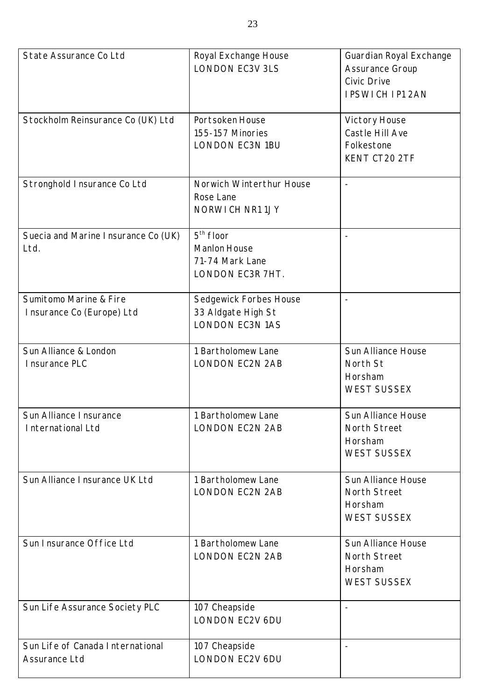| State Assurance Co Ltd                              | Royal Exchange House<br><b>LONDON EC3V 3LS</b>                            | Guardian Royal Exchange<br><b>Assurance Group</b><br><b>Civic Drive</b><br><b>IPSWICH IP1 2AN</b> |
|-----------------------------------------------------|---------------------------------------------------------------------------|---------------------------------------------------------------------------------------------------|
| Stockholm Reinsurance Co (UK) Ltd                   | Portsoken House<br>155-157 Minories<br><b>LONDON EC3N 1BU</b>             | Victory House<br>Castle Hill Ave<br>Folkestone<br>KENT CT20 2TF                                   |
| Stronghold Insurance Co Ltd                         | Norwich Winterthur House<br>Rose Lane<br>NORWICH NR11JY                   |                                                                                                   |
| Suecia and Marine Insurance Co (UK)<br>Ltd.         | $5th$ floor<br><b>Manlon House</b><br>71-74 Mark Lane<br>LONDON EC3R 7HT. |                                                                                                   |
| Sumitomo Marine & Fire<br>Insurance Co (Europe) Ltd | Sedgewick Forbes House<br>33 Aldgate High St<br><b>LONDON EC3N 1AS</b>    |                                                                                                   |
| Sun Alliance & London<br>Insurance PLC              | 1 Bartholomew Lane<br><b>LONDON EC2N 2AB</b>                              | Sun Alliance House<br>North St<br>Horsham<br><b>WEST SUSSEX</b>                                   |
| Sun Alliance I nsurance<br><b>International Ltd</b> | 1 Bartholomew Lane<br><b>LONDON EC2N 2AB</b>                              | Sun Alliance House<br>North Street<br>Horsham<br><b>WEST SUSSEX</b>                               |
| Sun Alliance Insurance UK Ltd                       | 1 Bartholomew Lane<br><b>LONDON EC2N 2AB</b>                              | Sun Alliance House<br>North Street<br>Horsham<br><b>WEST SUSSEX</b>                               |
| Sun Insurance Office Ltd                            | 1 Bartholomew Lane<br><b>LONDON EC2N 2AB</b>                              | Sun Alliance House<br>North Street<br>Horsham<br><b>WEST SUSSEX</b>                               |
| Sun Life Assurance Society PLC                      | 107 Cheapside<br><b>LONDON EC2V 6DU</b>                                   |                                                                                                   |
| Sun Life of Canada International<br>Assurance Ltd   | 107 Cheapside<br>LONDON EC2V 6DU                                          |                                                                                                   |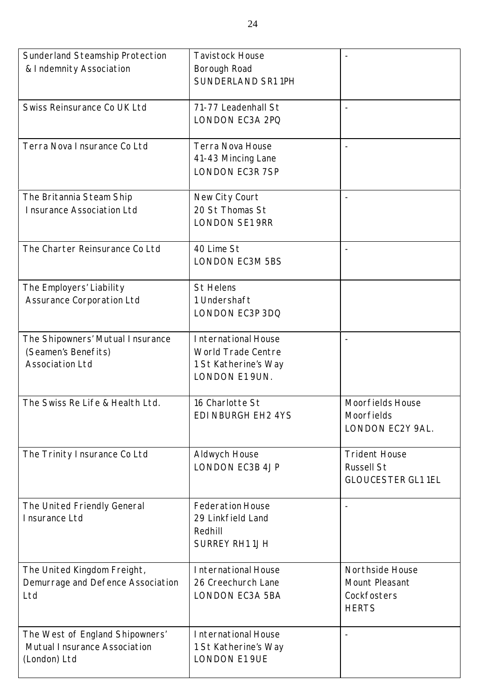| Sunderland Steamship Protection   | <b>Tavistock House</b>     | $\overline{\phantom{a}}$  |
|-----------------------------------|----------------------------|---------------------------|
| & Indemnity Association           | Borough Road               |                           |
|                                   | SUNDERLAND SR1 1PH         |                           |
|                                   |                            |                           |
| Swiss Reinsurance Co UK Ltd       | 71-77 Leadenhall St        |                           |
|                                   | LONDON EC3A 2PQ            |                           |
|                                   |                            |                           |
| Terra Nova Insurance Co Ltd       | Terra Nova House           | $\overline{\phantom{a}}$  |
|                                   |                            |                           |
|                                   | 41-43 Mincing Lane         |                           |
|                                   | <b>LONDON EC3R 7SP</b>     |                           |
|                                   |                            |                           |
| The Britannia Steam Ship          | New City Court             |                           |
| Insurance Association Ltd         | 20 St Thomas St            |                           |
|                                   | <b>LONDON SE1 9RR</b>      |                           |
|                                   |                            |                           |
| The Charter Reinsurance Co Ltd    | 40 Lime St                 |                           |
|                                   | <b>LONDON EC3M 5BS</b>     |                           |
|                                   |                            |                           |
| The Employers' Liability          | <b>St Helens</b>           |                           |
| <b>Assurance Corporation Ltd</b>  | 1 Undershaft               |                           |
|                                   | LONDON EC3P 3DQ            |                           |
|                                   |                            |                           |
| The Shipowners' Mutual Insurance  | International House        | $\overline{\phantom{a}}$  |
| (Seamen's Benefits)               | World Trade Centre         |                           |
| <b>Association Ltd</b>            | 1 St Katherine's Way       |                           |
|                                   | LONDON E1 9UN.             |                           |
|                                   |                            |                           |
| The Swiss Re Life & Health Ltd.   | 16 Charlotte St            | Moorfields House          |
|                                   | EDI NBURGH EH2 4YS         | <b>Moorfields</b>         |
|                                   |                            | LONDON EC2Y 9AL.          |
|                                   |                            |                           |
| The Trinity Insurance Co Ltd      | Aldwych House              | <b>Trident House</b>      |
|                                   | <b>LONDON EC3B 4JP</b>     | <b>Russell St</b>         |
|                                   |                            |                           |
|                                   |                            | <b>GLOUCESTER GL1 1EL</b> |
| The United Friendly General       | <b>Federation House</b>    |                           |
|                                   | 29 Linkfield Land          |                           |
| Insurance Ltd                     |                            |                           |
|                                   | Redhill                    |                           |
|                                   | <b>SURREY RH1 1JH</b>      |                           |
|                                   |                            |                           |
| The United Kingdom Freight,       | <b>International House</b> | Northside House           |
| Demurrage and Defence Association | 26 Creechurch Lane         | Mount Pleasant            |
| Ltd                               | <b>LONDON EC3A 5BA</b>     | Cockfosters               |
|                                   |                            | <b>HERTS</b>              |
|                                   |                            |                           |
| The West of England Shipowners'   | International House        |                           |
| Mutual Insurance Association      | 1 St Katherine's Way       |                           |
| (London) Ltd                      | <b>LONDON E1 9UE</b>       |                           |
|                                   |                            |                           |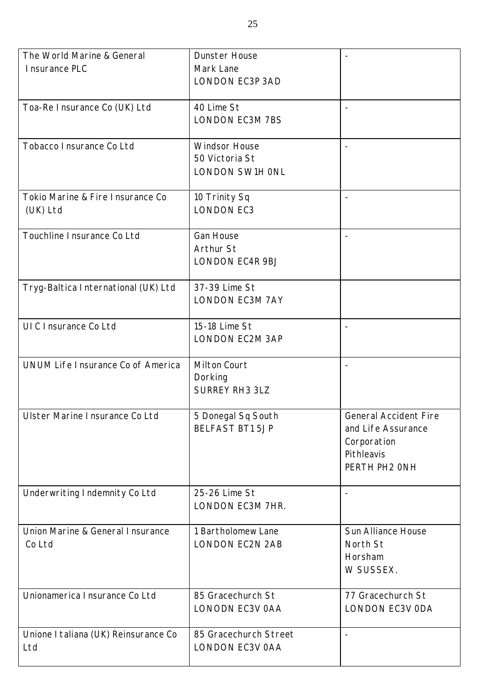| The World Marine & General           | <b>Dunster House</b>   | $\overline{\phantom{a}}$     |
|--------------------------------------|------------------------|------------------------------|
| I nsurance PLC                       | Mark Lane              |                              |
|                                      | <b>LONDON EC3P 3AD</b> |                              |
|                                      |                        |                              |
| Toa-Re Insurance Co (UK) Ltd         | 40 Lime St             |                              |
|                                      | <b>LONDON EC3M 7BS</b> |                              |
|                                      |                        |                              |
|                                      |                        |                              |
| Tobacco I nsurance Co Ltd            | <b>Windsor House</b>   | $\overline{\phantom{a}}$     |
|                                      | 50 Victoria St         |                              |
|                                      | LONDON SW1H ONL        |                              |
|                                      |                        |                              |
| Tokio Marine & Fire Insurance Co     | 10 Trinity Sq          |                              |
| (UK) Ltd                             | <b>LONDON EC3</b>      |                              |
|                                      |                        |                              |
| Touchline I nsurance Co Ltd          | <b>Gan House</b>       | $\overline{\phantom{a}}$     |
|                                      | Arthur St              |                              |
|                                      | LONDON EC4R 9BJ        |                              |
|                                      |                        |                              |
|                                      |                        |                              |
| Tryg-Baltica International (UK) Ltd  | 37-39 Lime St          |                              |
|                                      | <b>LONDON EC3M 7AY</b> |                              |
|                                      |                        |                              |
| UIC Insurance Co Ltd                 | 15-18 Lime St          |                              |
|                                      | <b>LONDON EC2M 3AP</b> |                              |
|                                      |                        |                              |
| UNUM Life I nsurance Co of America   | Milton Court           |                              |
|                                      | Dorking                |                              |
|                                      | <b>SURREY RH3 3LZ</b>  |                              |
|                                      |                        |                              |
| Ulster Marine Insurance Co Ltd       | 5 Donegal Sq South     | <b>General Accident Fire</b> |
|                                      | <b>BELFAST BT1 5JP</b> | and Life Assurance           |
|                                      |                        |                              |
|                                      |                        | Corporation                  |
|                                      |                        | Pithleavis                   |
|                                      |                        | PERTH PH2 ONH                |
|                                      |                        |                              |
| Underwriting Indemnity Co Ltd        | 25-26 Lime St          |                              |
|                                      | LONDON EC3M 7HR.       |                              |
|                                      |                        |                              |
| Union Marine & General Insurance     | 1 Bartholomew Lane     | Sun Alliance House           |
| Co Ltd                               | <b>LONDON EC2N 2AB</b> | North St                     |
|                                      |                        | Horsham                      |
|                                      |                        | W SUSSEX.                    |
|                                      |                        |                              |
| Unionamerica Insurance Co Ltd        | 85 Gracechurch St      | 77 Gracechurch St            |
|                                      |                        |                              |
|                                      | LONODN EC3V 0AA        | LONDON EC3V ODA              |
|                                      |                        |                              |
| Unione I taliana (UK) Reinsurance Co | 85 Gracechurch Street  | $\blacksquare$               |
| Ltd                                  | <b>LONDON EC3V OAA</b> |                              |
|                                      |                        |                              |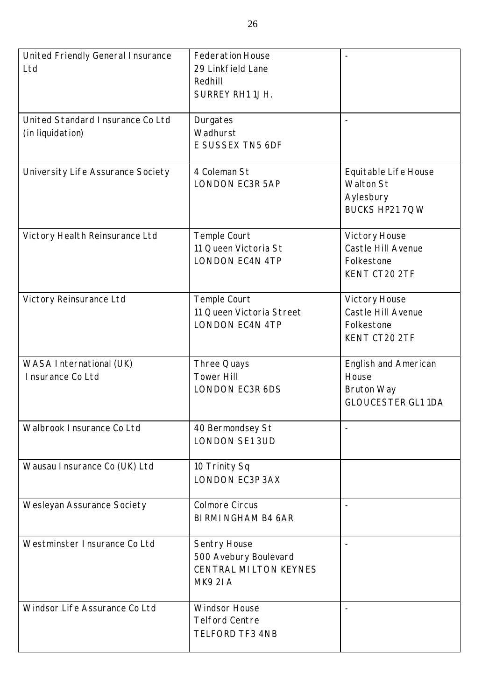| United Friendly General Insurance<br>Ltd             | <b>Federation House</b><br>29 Linkfield Lane<br>Redhill<br><b>SURREY RH1 1JH.</b>        |                                                                                 |
|------------------------------------------------------|------------------------------------------------------------------------------------------|---------------------------------------------------------------------------------|
| United Standard Insurance Co Ltd<br>(in liquidation) | Durgates<br>Wadhurst<br>E SUSSEX TN5 6DF                                                 |                                                                                 |
| University Life Assurance Society                    | 4 Coleman St<br><b>LONDON EC3R 5AP</b>                                                   | Equitable Life House<br><b>Walton St</b><br>Aylesbury<br>BUCKS HP21 7QW         |
| Victory Health Reinsurance Ltd                       | Temple Court<br>11 Queen Victoria St<br><b>LONDON EC4N 4TP</b>                           | Victory House<br>Castle Hill Avenue<br>Folkestone<br>KENT CT20 2TF              |
| Victory Reinsurance Ltd                              | Temple Court<br>11 Queen Victoria Street<br><b>LONDON EC4N 4TP</b>                       | Victory House<br>Castle Hill Avenue<br>Folkestone<br>KENT CT20 2TF              |
| WASA International (UK)<br>Insurance Co Ltd          | Three Quays<br><b>Tower Hill</b><br><b>LONDON EC3R 6DS</b>                               | English and American<br>House<br><b>Bruton Way</b><br><b>GLOUCESTER GL1 1DA</b> |
| Walbrook Insurance Co Ltd                            | 40 Bermondsey St<br><b>LONDON SE1 3UD</b>                                                |                                                                                 |
| Wausau I nsurance Co (UK) Ltd                        | 10 Trinity Sq<br><b>LONDON EC3P 3AX</b>                                                  |                                                                                 |
| Wesleyan Assurance Society                           | <b>Colmore Circus</b><br><b>BI RMI NGHAM B4 6AR</b>                                      |                                                                                 |
| Westminster Insurance Co Ltd                         | Sentry House<br>500 Avebury Boulevard<br><b>CENTRAL MILTON KEYNES</b><br><b>MK9 2I A</b> |                                                                                 |
| Windsor Life Assurance Co Ltd                        | <b>Windsor House</b><br><b>Telford Centre</b><br><b>TELFORD TF3 4NB</b>                  |                                                                                 |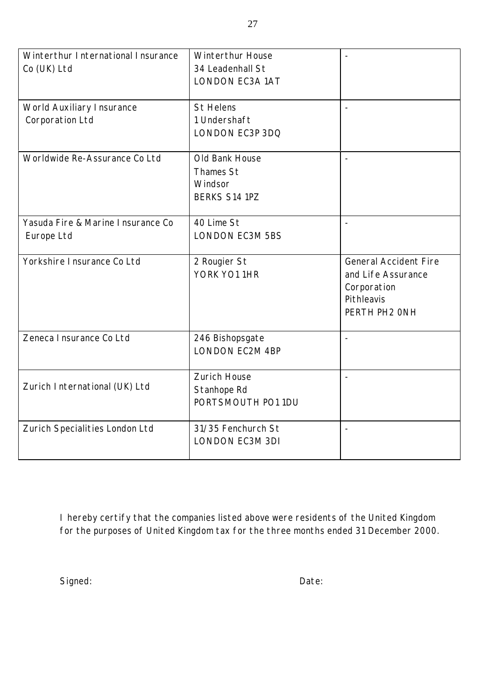| Winterthur International Insurance<br>Co (UK) Ltd | <b>Winterthur House</b><br>34 Leadenhall St<br><b>LONDON EC3A 1AT</b> |                                                                                                  |
|---------------------------------------------------|-----------------------------------------------------------------------|--------------------------------------------------------------------------------------------------|
| World Auxiliary Insurance<br>Corporation Ltd      | <b>St Helens</b><br>1 Undershaft<br>LONDON EC3P 3DQ                   | $\overline{a}$                                                                                   |
| Worldwide Re-Assurance Co Ltd                     | Old Bank House<br><b>Thames St</b><br>Windsor<br><b>BERKS S14 1PZ</b> |                                                                                                  |
| Yasuda Fire & Marine Insurance Co<br>Europe Ltd   | 40 Lime St<br><b>LONDON EC3M 5BS</b>                                  | $\overline{a}$                                                                                   |
| Yorkshire Insurance Co Ltd                        | 2 Rougier St<br>YORK YO1 1HR                                          | <b>General Accident Fire</b><br>and Life Assurance<br>Corporation<br>Pithleavis<br>PERTH PH2 ONH |
| Zeneca Insurance Co Ltd                           | 246 Bishopsgate<br><b>LONDON EC2M 4BP</b>                             |                                                                                                  |
| Zurich International (UK) Ltd                     | Zurich House<br>Stanhope Rd<br>PORTSMOUTH PO1 1DU                     |                                                                                                  |
| Zurich Specialities London Ltd                    | 31/35 Fenchurch St<br><b>LONDON EC3M 3DI</b>                          |                                                                                                  |

I hereby certify that the companies listed above were residents of the United Kingdom for the purposes of United Kingdom tax for the three months ended 31 December 2000.

Signed: Date: Date: Date: Date: Date: Date: Date: Date: Date: Date: Date: Date: Date: Date: Date: Date: Date:  $\sim$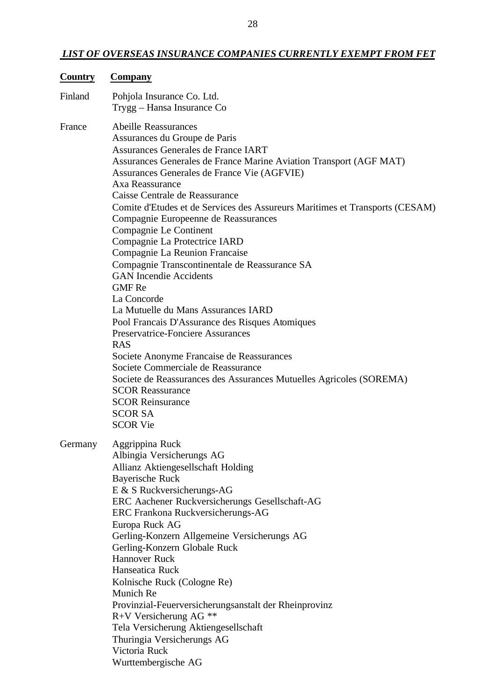# *LIST OF OVERSEAS INSURANCE COMPANIES CURRENTLY EXEMPT FROM FET*

| <b>Country</b> | <b>Company</b>                                                                                                                                                                                                           |
|----------------|--------------------------------------------------------------------------------------------------------------------------------------------------------------------------------------------------------------------------|
| Finland        | Pohjola Insurance Co. Ltd.<br>Trygg - Hansa Insurance Co                                                                                                                                                                 |
| France         | <b>Abeille Reassurances</b><br>Assurances du Groupe de Paris<br>Assurances Generales de France IART<br>Assurances Generales de France Marine Aviation Transport (AGF MAT)<br>Assurances Generales de France Vie (AGFVIE) |
|                | Axa Reassurance<br>Caisse Centrale de Reassurance<br>Comite d'Etudes et de Services des Assureurs Maritimes et Transports (CESAM)<br>Compagnie Europeenne de Reassurances                                                |
|                | Compagnie Le Continent<br>Compagnie La Protectrice IARD<br>Compagnie La Reunion Francaise<br>Compagnie Transcontinentale de Reassurance SA                                                                               |
|                | <b>GAN</b> Incendie Accidents<br><b>GMF</b> Re<br>La Concorde<br>La Mutuelle du Mans Assurances IARD                                                                                                                     |
|                | Pool Francais D'Assurance des Risques Atomiques<br><b>Preservatrice-Fonciere Assurances</b><br><b>RAS</b>                                                                                                                |
|                | Societe Anonyme Francaise de Reassurances<br>Societe Commerciale de Reassurance<br>Societe de Reassurances des Assurances Mutuelles Agricoles (SOREMA)<br><b>SCOR Reassurance</b>                                        |
|                | <b>SCOR Reinsurance</b><br><b>SCOR SA</b><br><b>SCOR Vie</b>                                                                                                                                                             |
| Germany        | Aggrippina Ruck<br>Albingia Versicherungs AG<br>Allianz Aktiengesellschaft Holding                                                                                                                                       |
|                | <b>Bayerische Ruck</b><br>E & S Ruckversicherungs-AG<br>ERC Aachener Ruckversicherungs Gesellschaft-AG<br>ERC Frankona Ruckversicherungs-AG                                                                              |
|                | Europa Ruck AG<br>Gerling-Konzern Allgemeine Versicherungs AG<br>Gerling-Konzern Globale Ruck<br><b>Hannover Ruck</b>                                                                                                    |
|                | Hanseatica Ruck<br>Kolnische Ruck (Cologne Re)<br>Munich Re                                                                                                                                                              |
|                | Provinzial-Feuerversicherungsanstalt der Rheinprovinz<br>$R+V$ Versicherung AG **<br>Tela Versicherung Aktiengesellschaft                                                                                                |
|                | Thuringia Versicherungs AG<br>Victoria Ruck<br>Wurttembergische AG                                                                                                                                                       |